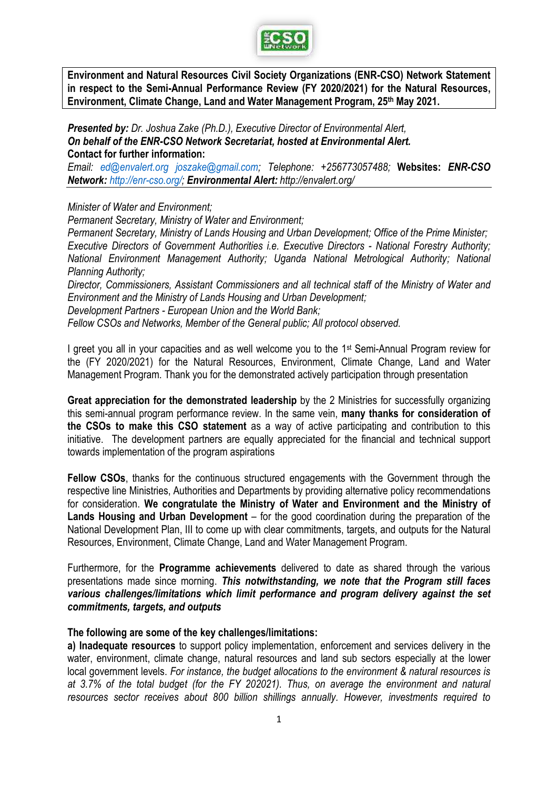

**Environment and Natural Resources Civil Society Organizations (ENR-CSO) Network Statement in respect to the Semi-Annual Performance Review (FY 2020/2021) for the Natural Resources, Environment, Climate Change, Land and Water Management Program, 25th May 2021.**

*Presented by: Dr. Joshua Zake (Ph.D.), Executive Director of Environmental Alert, On behalf of the ENR-CSO Network Secretariat, hosted at Environmental Alert.* **Contact for further information:**

*Email: [ed@envalert.org](mailto:ed@envalert.org) [joszake@gmail.com;](mailto:joszake@gmail.com) Telephone: +256773057488;* **Websites:** *ENR-CSO Network: [http://enr-cso.org/;](http://enr-cso.org/) Environmental Alert: http://envalert.org/*

*Minister of Water and Environment;*

*Permanent Secretary, Ministry of Water and Environment;*

*Permanent Secretary, Ministry of Lands Housing and Urban Development; Office of the Prime Minister; Executive Directors of Government Authorities i.e. Executive Directors - National Forestry Authority; National Environment Management Authority; Uganda National Metrological Authority; National Planning Authority;*

*Director, Commissioners, Assistant Commissioners and all technical staff of the Ministry of Water and Environment and the Ministry of Lands Housing and Urban Development;*

*Development Partners - European Union and the World Bank;*

*Fellow CSOs and Networks, Member of the General public; All protocol observed.*

I greet you all in your capacities and as well welcome you to the 1<sup>st</sup> Semi-Annual Program review for the (FY 2020/2021) for the Natural Resources, Environment, Climate Change, Land and Water Management Program. Thank you for the demonstrated actively participation through presentation

**Great appreciation for the demonstrated leadership** by the 2 Ministries for successfully organizing this semi-annual program performance review. In the same vein, **many thanks for consideration of the CSOs to make this CSO statement** as a way of active participating and contribution to this initiative. The development partners are equally appreciated for the financial and technical support towards implementation of the program aspirations

**Fellow CSOs**, thanks for the continuous structured engagements with the Government through the respective line Ministries, Authorities and Departments by providing alternative policy recommendations for consideration. **We congratulate the Ministry of Water and Environment and the Ministry of Lands Housing and Urban Development** – for the good coordination during the preparation of the National Development Plan, III to come up with clear commitments, targets, and outputs for the Natural Resources, Environment, Climate Change, Land and Water Management Program.

Furthermore, for the **Programme achievements** delivered to date as shared through the various presentations made since morning. *This notwithstanding, we note that the Program still faces various challenges/limitations which limit performance and program delivery against the set commitments, targets, and outputs*

## **The following are some of the key challenges/limitations:**

**a) Inadequate resources** to support policy implementation, enforcement and services delivery in the water, environment, climate change, natural resources and land sub sectors especially at the lower local government levels. *For instance, the budget allocations to the environment & natural resources is at 3.7% of the total budget (for the FY 202021). Thus, on average the environment and natural resources sector receives about 800 billion shillings annually. However, investments required to*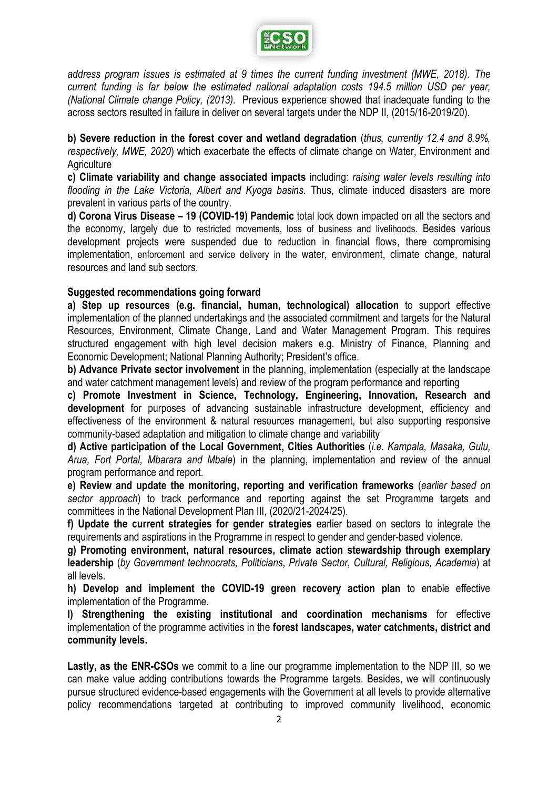

*address program issues is estimated at 9 times the current funding investment (MWE, 2018). The current funding is far below the estimated national adaptation costs 194.5 million USD per year, (National Climate change Policy, (2013).* Previous experience showed that inadequate funding to the across sectors resulted in failure in deliver on several targets under the NDP II, (2015/16-2019/20).

**b) Severe reduction in the forest cover and wetland degradation** (*thus, currently 12.4 and 8.9%, respectively, MWE, 2020*) which exacerbate the effects of climate change on Water, Environment and **Agriculture** 

**c) Climate variability and change associated impacts** including: *raising water levels resulting into flooding in the Lake Victoria, Albert and Kyoga basins.* Thus, climate induced disasters are more prevalent in various parts of the country.

**d) Corona Virus Disease – 19 (COVID-19) Pandemic** total lock down impacted on all the sectors and the economy, largely due to restricted movements, loss of business and livelihoods. Besides various development projects were suspended due to reduction in financial flows, there compromising implementation, enforcement and service delivery in the water, environment, climate change, natural resources and land sub sectors.

# **Suggested recommendations going forward**

**a) Step up resources (e.g. financial, human, technological) allocation** to support effective implementation of the planned undertakings and the associated commitment and targets for the Natural Resources, Environment, Climate Change, Land and Water Management Program. This requires structured engagement with high level decision makers e.g. Ministry of Finance, Planning and Economic Development; National Planning Authority; President's office.

**b) Advance Private sector involvement** in the planning, implementation (especially at the landscape and water catchment management levels) and review of the program performance and reporting

**c) Promote Investment in Science, Technology, Engineering, Innovation, Research and development** for purposes of advancing sustainable infrastructure development, efficiency and effectiveness of the environment & natural resources management, but also supporting responsive community-based adaptation and mitigation to climate change and variability

**d) Active participation of the Local Government, Cities Authorities** (*i.e. Kampala, Masaka, Gulu, Arua, Fort Portal, Mbarara and Mbale*) in the planning, implementation and review of the annual program performance and report.

**e) Review and update the monitoring, reporting and verification frameworks** (*earlier based on sector approach*) to track performance and reporting against the set Programme targets and committees in the National Development Plan III, (2020/21-2024/25).

**f) Update the current strategies for gender strategies** earlier based on sectors to integrate the requirements and aspirations in the Programme in respect to gender and gender-based violence.

**g) Promoting environment, natural resources, climate action stewardship through exemplary leadership** (*by Government technocrats, Politicians, Private Sector, Cultural, Religious, Academia*) at all levels.

**h) Develop and implement the COVID-19 green recovery action plan** to enable effective implementation of the Programme.

**I) Strengthening the existing institutional and coordination mechanisms** for effective implementation of the programme activities in the **forest landscapes, water catchments, district and community levels.**

**Lastly, as the ENR-CSOs** we commit to a line our programme implementation to the NDP III, so we can make value adding contributions towards the Programme targets. Besides, we will continuously pursue structured evidence-based engagements with the Government at all levels to provide alternative policy recommendations targeted at contributing to improved community livelihood, economic